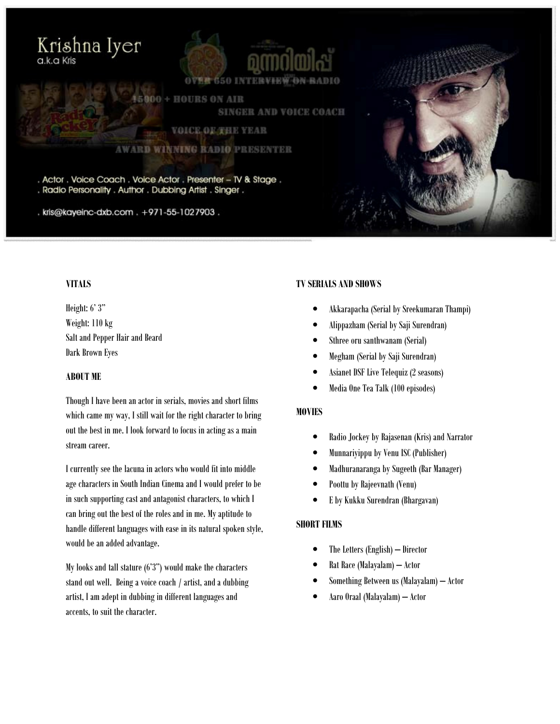# Krishna Iyer a.k.a Kris



**000 + HOURS ON AIR** SINGER AND VOICE COACH

VOICE OF THE YEAR

#### **AWARD WINNING RADIO PRESENTER**

. Actor . Voice Coach . Voice Actor . Presenter - TV & Stage . . Radio Personality . Author . Dubbing Artist . Singer .

. kris@kayeinc-dxb.com . +971-55-1027903.

# **VITALS**

Height: 6' 3" Weight: 110 kg Salt and Pepper Hair and Beard Dark Brown Eyes

## ABOUT ME

Though I have been an actor in serials, movies and short films which came my way, I still wait for the right character to bring out the best in me. I look forward to focus in acting as a main stream career.

I currently see the lacuna in actors who would fit into middle age characters in South Indian Cinema and I would prefer to be in such supporting cast and antagonist characters, to which I can bring out the best of the roles and in me. My aptitude to handle different languages with ease in its natural spoken style, would be an added advantage.

My looks and tall stature (6'3") would make the characters stand out well. Being a voice coach / artist, and a dubbing artist, I am adept in dubbing in different languages and accents, to suit the character.

# TV SERIALS AND SHOWS

- Akkarapacha (Serial by Sreekumaran Thampi)
- Alippazham (Serial by Saji Surendran)
- Sthree oru santhwanam (Serial)
- Megham (Serial by Saji Surendran)
- Asianet DSF Live Telequiz (2 seasons)
- Media One Tea Talk (100 episodes)

# **MOVIES**

- Radio Jockey by Rajasenan (Kris) and Narrator
- Munnariyippu by Venu ISC (Publisher)
- Madhuranaranga by Sugeeth (Bar Manager)
- Poottu by Rajeevnath (Venu)
- E by Kukku Surendran (Bhargavan)

# SHORT FILMS

- The Letters (English) Director
- Rat Race (Malayalam) Actor
- Something Between us (Malayalam) Actor
- Aaro Oraal (Malayalam) Actor